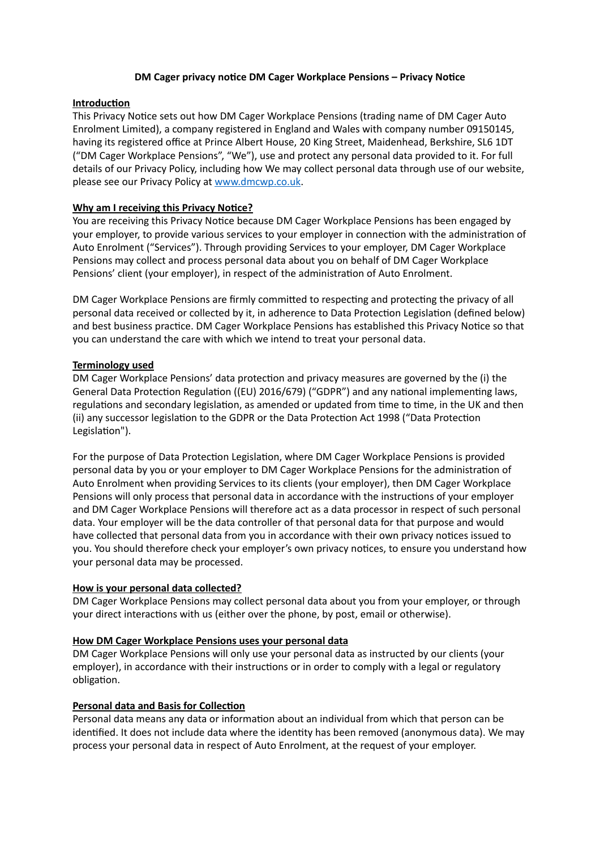## **DM Cager privacy notice DM Cager Workplace Pensions – Privacy Notice**

## **Introduction**

This Privacy Notice sets out how DM Cager Workplace Pensions (trading name of DM Cager Auto Enrolment Limited), a company registered in England and Wales with company number 09150145, having its registered office at Prince Albert House, 20 King Street, Maidenhead, Berkshire, SL6 1DT ("DM Cager Workplace Pensions", "We"), use and protect any personal data provided to it. For full details of our Privacy Policy, including how We may collect personal data through use of our website, please see our Privacy Policy at [www.dmcwp.co.uk](http://www.dmcwp.co.uk).

# **Why am I receiving this Privacy Notice?**

You are receiving this Privacy Notice because DM Cager Workplace Pensions has been engaged by your employer, to provide various services to your employer in connection with the administration of Auto Enrolment ("Services"). Through providing Services to your employer, DM Cager Workplace Pensions may collect and process personal data about you on behalf of DM Cager Workplace Pensions' client (your employer), in respect of the administration of Auto Enrolment.

DM Cager Workplace Pensions are firmly committed to respecting and protecting the privacy of all personal data received or collected by it, in adherence to Data Protection Legislation (defined below) and best business practice. DM Cager Workplace Pensions has established this Privacy Notice so that you can understand the care with which we intend to treat your personal data.

# **Terminology used**

DM Cager Workplace Pensions' data protection and privacy measures are governed by the (i) the General Data Protection Regulation ((EU) 2016/679) ("GDPR") and any national implementing laws, regulations and secondary legislation, as amended or updated from time to time, in the UK and then (ii) any successor legislation to the GDPR or the Data Protection Act 1998 ("Data Protection Legislation").

For the purpose of Data Protection Legislation, where DM Cager Workplace Pensions is provided personal data by you or your employer to DM Cager Workplace Pensions for the administration of Auto Enrolment when providing Services to its clients (your employer), then DM Cager Workplace Pensions will only process that personal data in accordance with the instructions of your employer and DM Cager Workplace Pensions will therefore act as a data processor in respect of such personal data. Your employer will be the data controller of that personal data for that purpose and would have collected that personal data from you in accordance with their own privacy notices issued to you. You should therefore check your employer's own privacy notices, to ensure you understand how your personal data may be processed.

## **How is your personal data collected?**

DM Cager Workplace Pensions may collect personal data about you from your employer, or through your direct interactions with us (either over the phone, by post, email or otherwise).

## **How DM Cager Workplace Pensions uses your personal data**

DM Cager Workplace Pensions will only use your personal data as instructed by our clients (your employer), in accordance with their instructions or in order to comply with a legal or regulatory obligation.

## **Personal data and Basis for Collection**

Personal data means any data or information about an individual from which that person can be identified. It does not include data where the identity has been removed (anonymous data). We may process your personal data in respect of Auto Enrolment, at the request of your employer.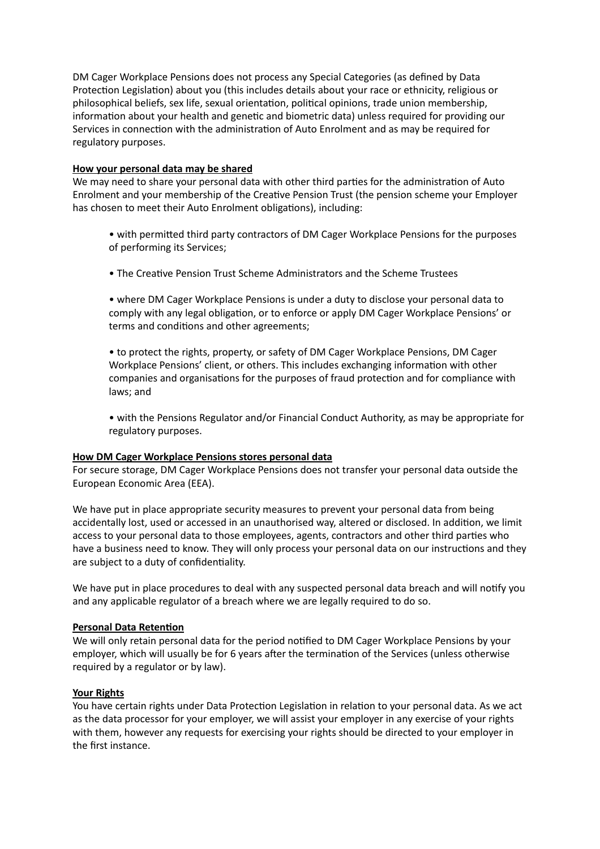DM Cager Workplace Pensions does not process any Special Categories (as defined by Data Protection Legislation) about you (this includes details about your race or ethnicity, religious or philosophical beliefs, sex life, sexual orientation, political opinions, trade union membership, information about your health and genetic and biometric data) unless required for providing our Services in connection with the administration of Auto Enrolment and as may be required for regulatory purposes.

## **How your personal data may be shared**

We may need to share your personal data with other third parties for the administration of Auto Enrolment and your membership of the Creative Pension Trust (the pension scheme your Employer has chosen to meet their Auto Enrolment obligations), including:

- with permitted third party contractors of DM Cager Workplace Pensions for the purposes of performing its Services;
- The Creative Pension Trust Scheme Administrators and the Scheme Trustees

• where DM Cager Workplace Pensions is under a duty to disclose your personal data to comply with any legal obligation, or to enforce or apply DM Cager Workplace Pensions' or terms and conditions and other agreements;

• to protect the rights, property, or safety of DM Cager Workplace Pensions, DM Cager Workplace Pensions' client, or others. This includes exchanging information with other companies and organisations for the purposes of fraud protection and for compliance with laws; and

• with the Pensions Regulator and/or Financial Conduct Authority, as may be appropriate for regulatory purposes.

#### **How DM Cager Workplace Pensions stores personal data**

For secure storage, DM Cager Workplace Pensions does not transfer your personal data outside the European Economic Area (EEA).

We have put in place appropriate security measures to prevent your personal data from being accidentally lost, used or accessed in an unauthorised way, altered or disclosed. In addition, we limit access to your personal data to those employees, agents, contractors and other third parties who have a business need to know. They will only process your personal data on our instructions and they are subject to a duty of confidentiality.

We have put in place procedures to deal with any suspected personal data breach and will notify you and any applicable regulator of a breach where we are legally required to do so.

#### **Personal Data Retention**

We will only retain personal data for the period notified to DM Cager Workplace Pensions by your employer, which will usually be for 6 years after the termination of the Services (unless otherwise required by a regulator or by law).

#### **Your Rights**

You have certain rights under Data Protection Legislation in relation to your personal data. As we act as the data processor for your employer, we will assist your employer in any exercise of your rights with them, however any requests for exercising your rights should be directed to your employer in the first instance.